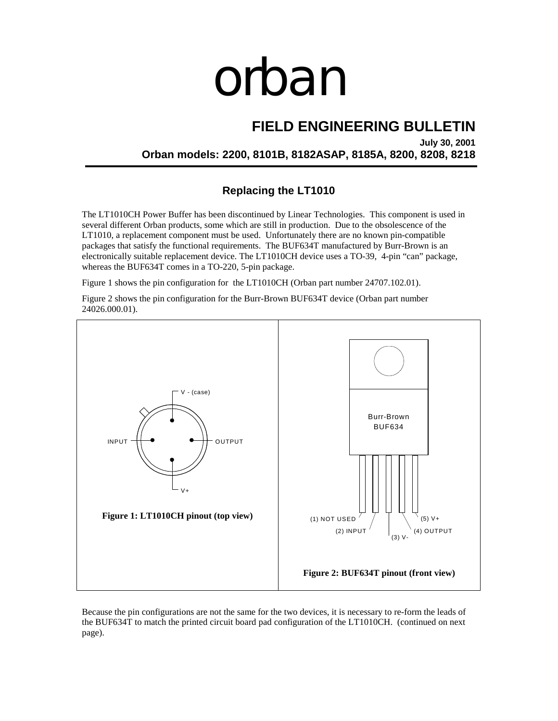## orban

## **FIELD ENGINEERING BULLETIN**

**July 30, 2001 Orban models: 2200, 8101B, 8182ASAP, 8185A, 8200, 8208, 8218** 

**Replacing the LT1010** 

The LT1010CH Power Buffer has been discontinued by Linear Technologies. This component is used in several different Orban products, some which are still in production. Due to the obsolescence of the LT1010, a replacement component must be used. Unfortunately there are no known pin-compatible packages that satisfy the functional requirements. The BUF634T manufactured by Burr-Brown is an electronically suitable replacement device. The LT1010CH device uses a TO-39, 4-pin "can" package, whereas the BUF634T comes in a TO-220, 5-pin package.

Figure 1 shows the pin configuration for the LT1010CH (Orban part number 24707.102.01).

Figure 2 shows the pin configuration for the Burr-Brown BUF634T device (Orban part number 24026.000.01).



Because the pin configurations are not the same for the two devices, it is necessary to re-form the leads of the BUF634T to match the printed circuit board pad configuration of the LT1010CH. (continued on next page).